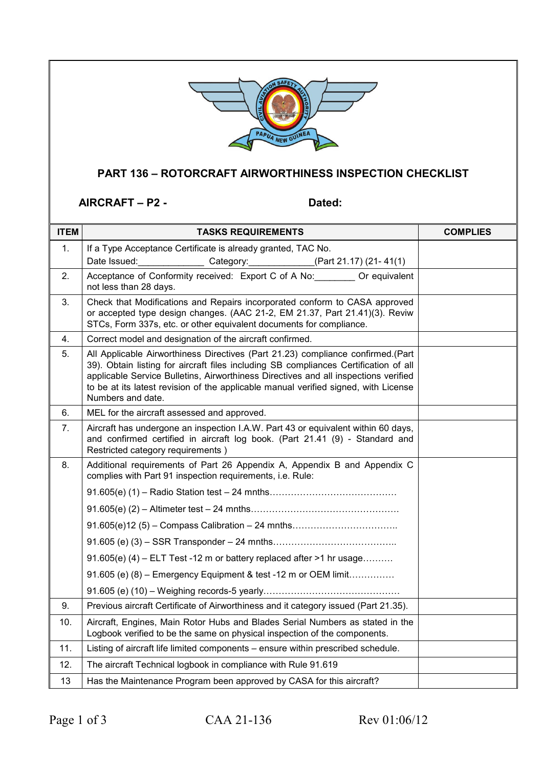

## **PART 136 – ROTORCRAFT AIRWORTHINESS INSPECTION CHECKLIST**

AIRCRAFT – P2 - Dated:

| <b>ITEM</b> | <b>TASKS REQUIREMENTS</b>                                                                                                                                                                                                                                                                                                                                                  | <b>COMPLIES</b> |
|-------------|----------------------------------------------------------------------------------------------------------------------------------------------------------------------------------------------------------------------------------------------------------------------------------------------------------------------------------------------------------------------------|-----------------|
| 1.          | If a Type Acceptance Certificate is already granted, TAC No.                                                                                                                                                                                                                                                                                                               |                 |
|             | Date Issued:<br>Category: _____________(Part 21.17) (21-41(1)                                                                                                                                                                                                                                                                                                              |                 |
| 2.          | Acceptance of Conformity received: Export C of A No: Or equivalent<br>not less than 28 days.                                                                                                                                                                                                                                                                               |                 |
| 3.          | Check that Modifications and Repairs incorporated conform to CASA approved<br>or accepted type design changes. (AAC 21-2, EM 21.37, Part 21.41)(3). Reviw<br>STCs, Form 337s, etc. or other equivalent documents for compliance.                                                                                                                                           |                 |
| 4.          | Correct model and designation of the aircraft confirmed.                                                                                                                                                                                                                                                                                                                   |                 |
| 5.          | All Applicable Airworthiness Directives (Part 21.23) compliance confirmed.(Part<br>39). Obtain listing for aircraft files including SB compliances Certification of all<br>applicable Service Bulletins, Airworthiness Directives and all inspections verified<br>to be at its latest revision of the applicable manual verified signed, with License<br>Numbers and date. |                 |
| 6.          | MEL for the aircraft assessed and approved.                                                                                                                                                                                                                                                                                                                                |                 |
| 7.          | Aircraft has undergone an inspection I.A.W. Part 43 or equivalent within 60 days,<br>and confirmed certified in aircraft log book. (Part 21.41 (9) - Standard and<br>Restricted category requirements)                                                                                                                                                                     |                 |
| 8.          | Additional requirements of Part 26 Appendix A, Appendix B and Appendix C<br>complies with Part 91 inspection requirements, i.e. Rule:                                                                                                                                                                                                                                      |                 |
|             |                                                                                                                                                                                                                                                                                                                                                                            |                 |
|             |                                                                                                                                                                                                                                                                                                                                                                            |                 |
|             |                                                                                                                                                                                                                                                                                                                                                                            |                 |
|             |                                                                                                                                                                                                                                                                                                                                                                            |                 |
|             | 91.605(e) (4) $-$ ELT Test -12 m or battery replaced after >1 hr usage                                                                                                                                                                                                                                                                                                     |                 |
|             | 91.605 (e) (8) - Emergency Equipment & test -12 m or OEM limit                                                                                                                                                                                                                                                                                                             |                 |
|             |                                                                                                                                                                                                                                                                                                                                                                            |                 |
| 9.          | Previous aircraft Certificate of Airworthiness and it category issued (Part 21.35).                                                                                                                                                                                                                                                                                        |                 |
| 10.         | Aircraft, Engines, Main Rotor Hubs and Blades Serial Numbers as stated in the<br>Logbook verified to be the same on physical inspection of the components.                                                                                                                                                                                                                 |                 |
| 11.         | Listing of aircraft life limited components - ensure within prescribed schedule.                                                                                                                                                                                                                                                                                           |                 |
| 12.         | The aircraft Technical logbook in compliance with Rule 91.619                                                                                                                                                                                                                                                                                                              |                 |
| 13          | Has the Maintenance Program been approved by CASA for this aircraft?                                                                                                                                                                                                                                                                                                       |                 |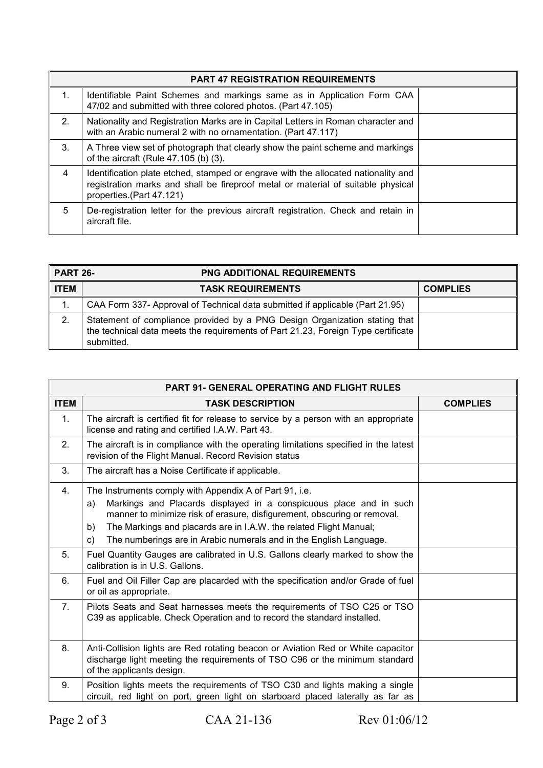| <b>PART 47 REGISTRATION REQUIREMENTS</b> |                                                                                                                                                                                                    |  |
|------------------------------------------|----------------------------------------------------------------------------------------------------------------------------------------------------------------------------------------------------|--|
| 1 <sub>1</sub>                           | Identifiable Paint Schemes and markings same as in Application Form CAA<br>47/02 and submitted with three colored photos. (Part 47.105)                                                            |  |
| 2.                                       | Nationality and Registration Marks are in Capital Letters in Roman character and<br>with an Arabic numeral 2 with no ornamentation. (Part 47.117)                                                  |  |
| 3.                                       | A Three view set of photograph that clearly show the paint scheme and markings<br>of the aircraft (Rule 47.105 (b) (3).                                                                            |  |
| 4                                        | Identification plate etched, stamped or engrave with the allocated nationality and<br>registration marks and shall be fireproof metal or material of suitable physical<br>properties.(Part 47.121) |  |
| 5                                        | De-registration letter for the previous aircraft registration. Check and retain in<br>aircraft file.                                                                                               |  |

| <b>PART 26-</b> | <b>PNG ADDITIONAL REQUIREMENTS</b>                                                                                                                                            |                 |
|-----------------|-------------------------------------------------------------------------------------------------------------------------------------------------------------------------------|-----------------|
| <b>ITEM</b>     | <b>TASK REQUIREMENTS</b>                                                                                                                                                      | <b>COMPLIES</b> |
| 1.              | CAA Form 337- Approval of Technical data submitted if applicable (Part 21.95)                                                                                                 |                 |
| 2.              | Statement of compliance provided by a PNG Design Organization stating that<br>the technical data meets the requirements of Part 21.23, Foreign Type certificate<br>submitted. |                 |

| <b>PART 91- GENERAL OPERATING AND FLIGHT RULES</b> |                                                                                                                                                                                                                                                                                                                                                                         |                 |
|----------------------------------------------------|-------------------------------------------------------------------------------------------------------------------------------------------------------------------------------------------------------------------------------------------------------------------------------------------------------------------------------------------------------------------------|-----------------|
| <b>ITEM</b>                                        | <b>TASK DESCRIPTION</b>                                                                                                                                                                                                                                                                                                                                                 | <b>COMPLIES</b> |
| 1 <sub>1</sub>                                     | The aircraft is certified fit for release to service by a person with an appropriate<br>license and rating and certified I.A.W. Part 43.                                                                                                                                                                                                                                |                 |
| 2.                                                 | The aircraft is in compliance with the operating limitations specified in the latest<br>revision of the Flight Manual. Record Revision status                                                                                                                                                                                                                           |                 |
| 3.                                                 | The aircraft has a Noise Certificate if applicable.                                                                                                                                                                                                                                                                                                                     |                 |
| 4.                                                 | The Instruments comply with Appendix A of Part 91, i.e.<br>Markings and Placards displayed in a conspicuous place and in such<br>a)<br>manner to minimize risk of erasure, disfigurement, obscuring or removal.<br>The Markings and placards are in I.A.W. the related Flight Manual;<br>b)<br>The numberings are in Arabic numerals and in the English Language.<br>C) |                 |
| 5.                                                 | Fuel Quantity Gauges are calibrated in U.S. Gallons clearly marked to show the<br>calibration is in U.S. Gallons.                                                                                                                                                                                                                                                       |                 |
| 6.                                                 | Fuel and Oil Filler Cap are placarded with the specification and/or Grade of fuel<br>or oil as appropriate.                                                                                                                                                                                                                                                             |                 |
| 7.                                                 | Pilots Seats and Seat harnesses meets the requirements of TSO C25 or TSO<br>C39 as applicable. Check Operation and to record the standard installed.                                                                                                                                                                                                                    |                 |
| 8.                                                 | Anti-Collision lights are Red rotating beacon or Aviation Red or White capacitor<br>discharge light meeting the requirements of TSO C96 or the minimum standard<br>of the applicants design.                                                                                                                                                                            |                 |
| 9.                                                 | Position lights meets the requirements of TSO C30 and lights making a single<br>circuit, red light on port, green light on starboard placed laterally as far as                                                                                                                                                                                                         |                 |